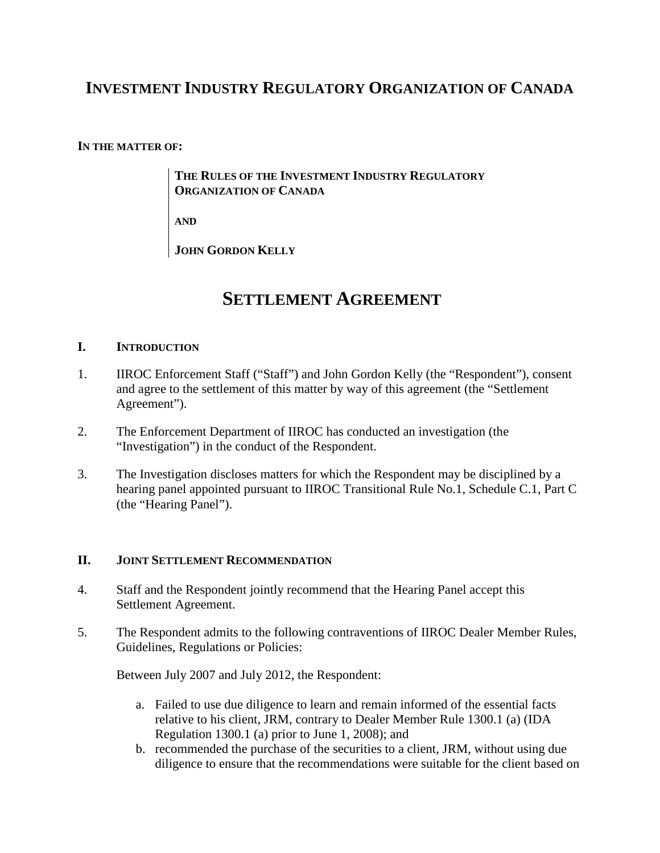# **INVESTMENT INDUSTRY REGULATORY ORGANIZATION OF CANADA**

#### **IN THE MATTER OF:**

**THE RULES OF THE INVESTMENT INDUSTRY REGULATORY ORGANIZATION OF CANADA** 

**AND**

**JOHN GORDON KELLY**

# **SETTLEMENT AGREEMENT**

#### **I. INTRODUCTION**

- 1. IIROC Enforcement Staff ("Staff") and John Gordon Kelly (the "Respondent"), consent and agree to the settlement of this matter by way of this agreement (the "Settlement Agreement").
- 2. The Enforcement Department of IIROC has conducted an investigation (the "Investigation") in the conduct of the Respondent.
- 3. The Investigation discloses matters for which the Respondent may be disciplined by a hearing panel appointed pursuant to IIROC Transitional Rule No.1, Schedule C.1, Part C (the "Hearing Panel").

#### **II. JOINT SETTLEMENT RECOMMENDATION**

- 4. Staff and the Respondent jointly recommend that the Hearing Panel accept this Settlement Agreement.
- 5. The Respondent admits to the following contraventions of IIROC Dealer Member Rules, Guidelines, Regulations or Policies:

Between July 2007 and July 2012, the Respondent:

- a. Failed to use due diligence to learn and remain informed of the essential facts relative to his client, JRM, contrary to Dealer Member Rule 1300.1 (a) (IDA Regulation 1300.1 (a) prior to June 1, 2008); and
- b. recommended the purchase of the securities to a client, JRM, without using due diligence to ensure that the recommendations were suitable for the client based on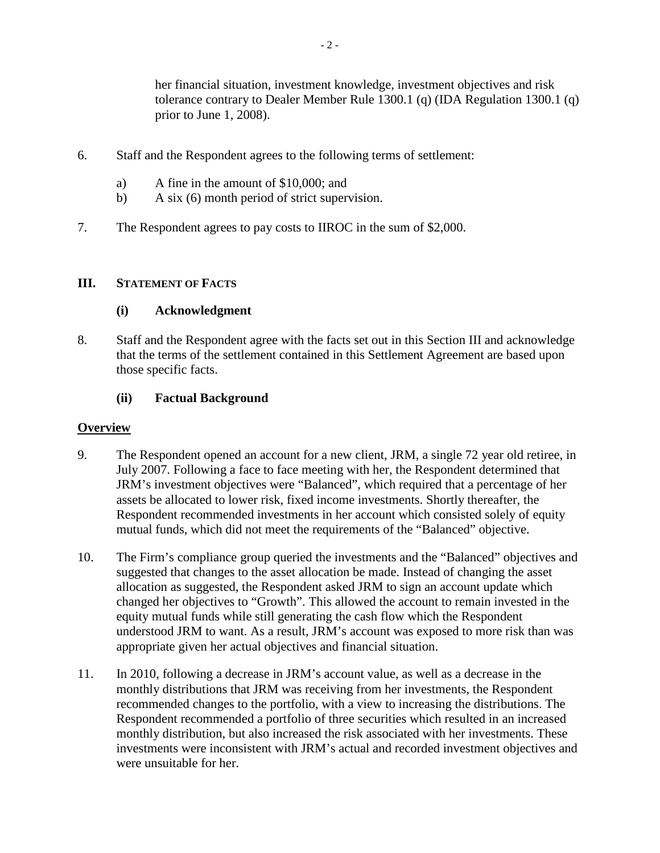her financial situation, investment knowledge, investment objectives and risk tolerance contrary to Dealer Member Rule 1300.1 (q) (IDA Regulation 1300.1 (q) prior to June 1, 2008).

- 6. Staff and the Respondent agrees to the following terms of settlement:
	- a) A fine in the amount of \$10,000; and
	- b) A six (6) month period of strict supervision.
- 7. The Respondent agrees to pay costs to IIROC in the sum of \$2,000.

#### **III. STATEMENT OF FACTS**

#### **(i) Acknowledgment**

8. Staff and the Respondent agree with the facts set out in this Section III and acknowledge that the terms of the settlement contained in this Settlement Agreement are based upon those specific facts.

#### **(ii) Factual Background**

#### **Overview**

- 9. The Respondent opened an account for a new client, JRM, a single 72 year old retiree, in July 2007. Following a face to face meeting with her, the Respondent determined that JRM's investment objectives were "Balanced", which required that a percentage of her assets be allocated to lower risk, fixed income investments. Shortly thereafter, the Respondent recommended investments in her account which consisted solely of equity mutual funds, which did not meet the requirements of the "Balanced" objective.
- 10. The Firm's compliance group queried the investments and the "Balanced" objectives and suggested that changes to the asset allocation be made. Instead of changing the asset allocation as suggested, the Respondent asked JRM to sign an account update which changed her objectives to "Growth". This allowed the account to remain invested in the equity mutual funds while still generating the cash flow which the Respondent understood JRM to want. As a result, JRM's account was exposed to more risk than was appropriate given her actual objectives and financial situation.
- 11. In 2010, following a decrease in JRM's account value, as well as a decrease in the monthly distributions that JRM was receiving from her investments, the Respondent recommended changes to the portfolio, with a view to increasing the distributions. The Respondent recommended a portfolio of three securities which resulted in an increased monthly distribution, but also increased the risk associated with her investments. These investments were inconsistent with JRM's actual and recorded investment objectives and were unsuitable for her.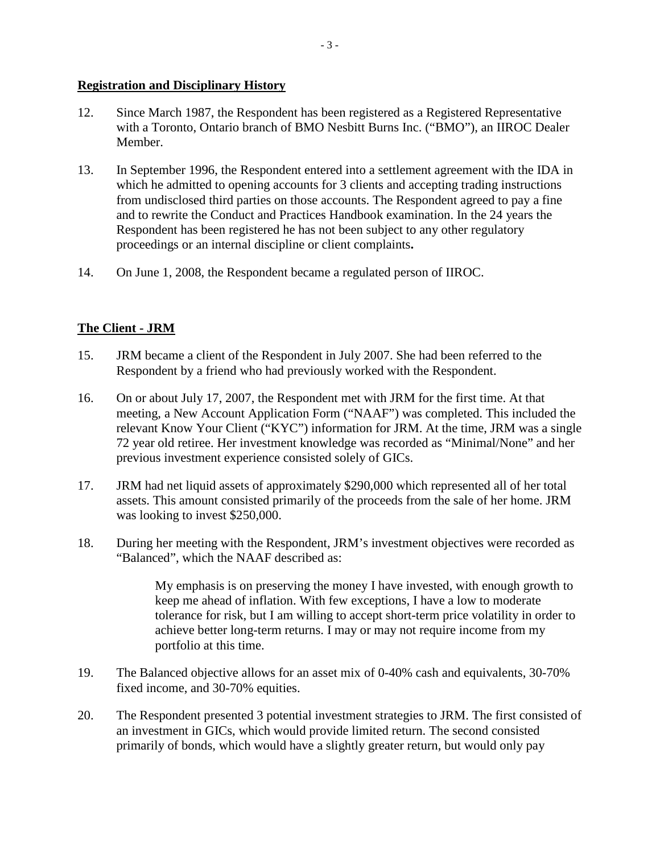#### **Registration and Disciplinary History**

- 12. Since March 1987, the Respondent has been registered as a Registered Representative with a Toronto, Ontario branch of BMO Nesbitt Burns Inc. ("BMO"), an IIROC Dealer Member.
- 13. In September 1996, the Respondent entered into a settlement agreement with the IDA in which he admitted to opening accounts for 3 clients and accepting trading instructions from undisclosed third parties on those accounts. The Respondent agreed to pay a fine and to rewrite the Conduct and Practices Handbook examination. In the 24 years the Respondent has been registered he has not been subject to any other regulatory proceedings or an internal discipline or client complaints**.**
- 14. On June 1, 2008, the Respondent became a regulated person of IIROC.

## **The Client - JRM**

- 15. JRM became a client of the Respondent in July 2007. She had been referred to the Respondent by a friend who had previously worked with the Respondent.
- 16. On or about July 17, 2007, the Respondent met with JRM for the first time. At that meeting, a New Account Application Form ("NAAF") was completed. This included the relevant Know Your Client ("KYC") information for JRM. At the time, JRM was a single 72 year old retiree. Her investment knowledge was recorded as "Minimal/None" and her previous investment experience consisted solely of GICs.
- 17. JRM had net liquid assets of approximately \$290,000 which represented all of her total assets. This amount consisted primarily of the proceeds from the sale of her home. JRM was looking to invest \$250,000.
- 18. During her meeting with the Respondent, JRM's investment objectives were recorded as "Balanced", which the NAAF described as:

My emphasis is on preserving the money I have invested, with enough growth to keep me ahead of inflation. With few exceptions, I have a low to moderate tolerance for risk, but I am willing to accept short-term price volatility in order to achieve better long-term returns. I may or may not require income from my portfolio at this time.

- 19. The Balanced objective allows for an asset mix of 0-40% cash and equivalents, 30-70% fixed income, and 30-70% equities.
- 20. The Respondent presented 3 potential investment strategies to JRM. The first consisted of an investment in GICs, which would provide limited return. The second consisted primarily of bonds, which would have a slightly greater return, but would only pay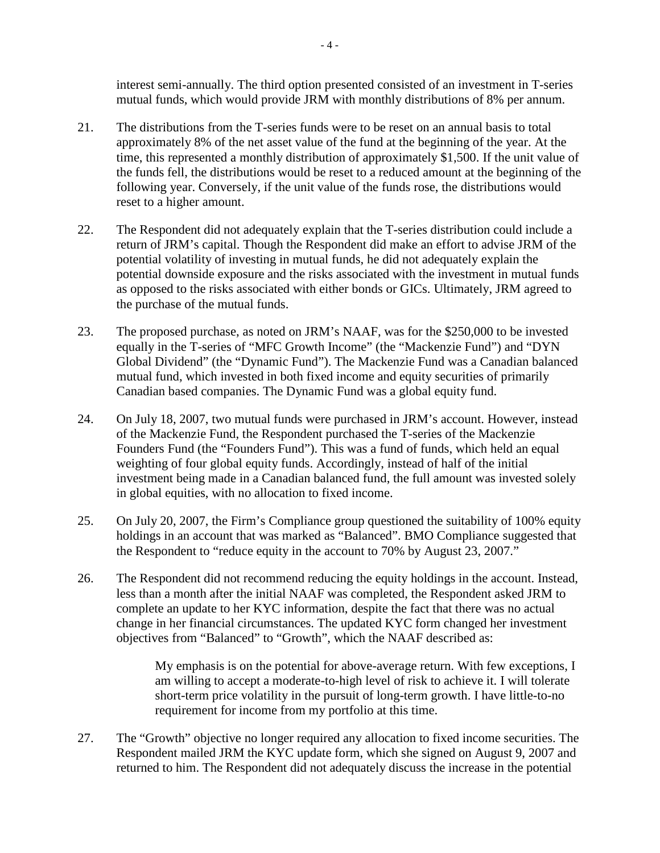interest semi-annually. The third option presented consisted of an investment in T-series mutual funds, which would provide JRM with monthly distributions of 8% per annum.

- 21. The distributions from the T-series funds were to be reset on an annual basis to total approximately 8% of the net asset value of the fund at the beginning of the year. At the time, this represented a monthly distribution of approximately \$1,500. If the unit value of the funds fell, the distributions would be reset to a reduced amount at the beginning of the following year. Conversely, if the unit value of the funds rose, the distributions would reset to a higher amount.
- 22. The Respondent did not adequately explain that the T-series distribution could include a return of JRM's capital. Though the Respondent did make an effort to advise JRM of the potential volatility of investing in mutual funds, he did not adequately explain the potential downside exposure and the risks associated with the investment in mutual funds as opposed to the risks associated with either bonds or GICs. Ultimately, JRM agreed to the purchase of the mutual funds.
- 23. The proposed purchase, as noted on JRM's NAAF, was for the \$250,000 to be invested equally in the T-series of "MFC Growth Income" (the "Mackenzie Fund") and "DYN Global Dividend" (the "Dynamic Fund"). The Mackenzie Fund was a Canadian balanced mutual fund, which invested in both fixed income and equity securities of primarily Canadian based companies. The Dynamic Fund was a global equity fund.
- 24. On July 18, 2007, two mutual funds were purchased in JRM's account. However, instead of the Mackenzie Fund, the Respondent purchased the T-series of the Mackenzie Founders Fund (the "Founders Fund"). This was a fund of funds, which held an equal weighting of four global equity funds. Accordingly, instead of half of the initial investment being made in a Canadian balanced fund, the full amount was invested solely in global equities, with no allocation to fixed income.
- 25. On July 20, 2007, the Firm's Compliance group questioned the suitability of 100% equity holdings in an account that was marked as "Balanced". BMO Compliance suggested that the Respondent to "reduce equity in the account to 70% by August 23, 2007."
- 26. The Respondent did not recommend reducing the equity holdings in the account. Instead, less than a month after the initial NAAF was completed, the Respondent asked JRM to complete an update to her KYC information, despite the fact that there was no actual change in her financial circumstances. The updated KYC form changed her investment objectives from "Balanced" to "Growth", which the NAAF described as:

My emphasis is on the potential for above-average return. With few exceptions, I am willing to accept a moderate-to-high level of risk to achieve it. I will tolerate short-term price volatility in the pursuit of long-term growth. I have little-to-no requirement for income from my portfolio at this time.

27. The "Growth" objective no longer required any allocation to fixed income securities. The Respondent mailed JRM the KYC update form, which she signed on August 9, 2007 and returned to him. The Respondent did not adequately discuss the increase in the potential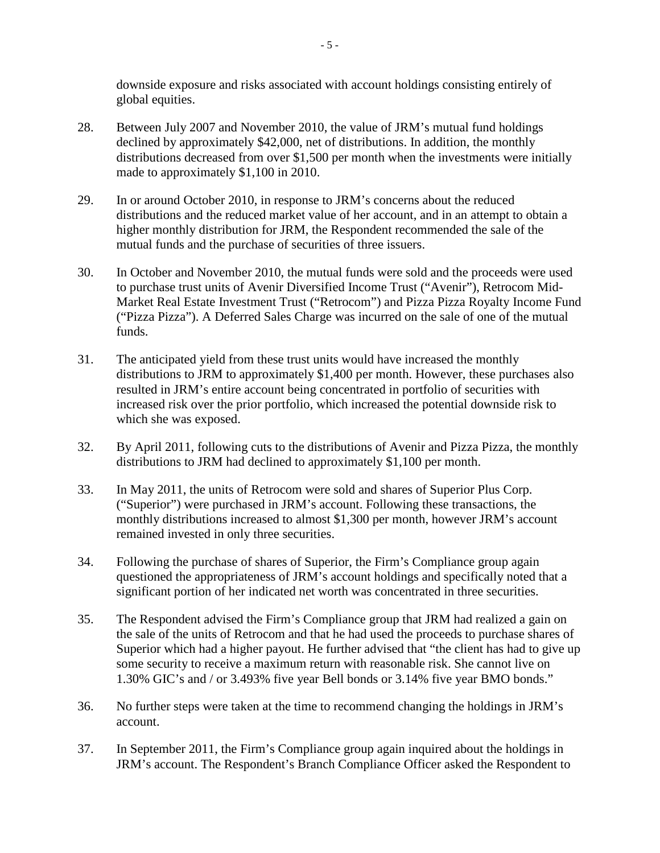downside exposure and risks associated with account holdings consisting entirely of global equities.

- 28. Between July 2007 and November 2010, the value of JRM's mutual fund holdings declined by approximately \$42,000, net of distributions. In addition, the monthly distributions decreased from over \$1,500 per month when the investments were initially made to approximately \$1,100 in 2010.
- 29. In or around October 2010, in response to JRM's concerns about the reduced distributions and the reduced market value of her account, and in an attempt to obtain a higher monthly distribution for JRM, the Respondent recommended the sale of the mutual funds and the purchase of securities of three issuers.
- 30. In October and November 2010, the mutual funds were sold and the proceeds were used to purchase trust units of Avenir Diversified Income Trust ("Avenir"), Retrocom Mid-Market Real Estate Investment Trust ("Retrocom") and Pizza Pizza Royalty Income Fund ("Pizza Pizza"). A Deferred Sales Charge was incurred on the sale of one of the mutual funds.
- 31. The anticipated yield from these trust units would have increased the monthly distributions to JRM to approximately \$1,400 per month. However, these purchases also resulted in JRM's entire account being concentrated in portfolio of securities with increased risk over the prior portfolio, which increased the potential downside risk to which she was exposed.
- 32. By April 2011, following cuts to the distributions of Avenir and Pizza Pizza, the monthly distributions to JRM had declined to approximately \$1,100 per month.
- 33. In May 2011, the units of Retrocom were sold and shares of Superior Plus Corp. ("Superior") were purchased in JRM's account. Following these transactions, the monthly distributions increased to almost \$1,300 per month, however JRM's account remained invested in only three securities.
- 34. Following the purchase of shares of Superior, the Firm's Compliance group again questioned the appropriateness of JRM's account holdings and specifically noted that a significant portion of her indicated net worth was concentrated in three securities.
- 35. The Respondent advised the Firm's Compliance group that JRM had realized a gain on the sale of the units of Retrocom and that he had used the proceeds to purchase shares of Superior which had a higher payout. He further advised that "the client has had to give up some security to receive a maximum return with reasonable risk. She cannot live on 1.30% GIC's and / or 3.493% five year Bell bonds or 3.14% five year BMO bonds."
- 36. No further steps were taken at the time to recommend changing the holdings in JRM's account.
- 37. In September 2011, the Firm's Compliance group again inquired about the holdings in JRM's account. The Respondent's Branch Compliance Officer asked the Respondent to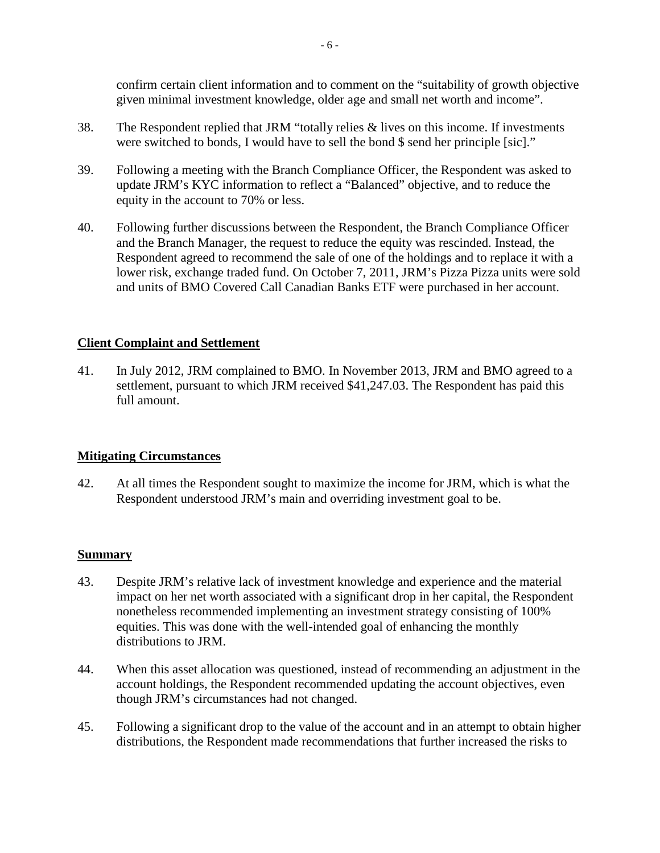confirm certain client information and to comment on the "suitability of growth objective given minimal investment knowledge, older age and small net worth and income".

- 38. The Respondent replied that JRM "totally relies & lives on this income. If investments were switched to bonds, I would have to sell the bond \$ send her principle [sic]."
- 39. Following a meeting with the Branch Compliance Officer, the Respondent was asked to update JRM's KYC information to reflect a "Balanced" objective, and to reduce the equity in the account to 70% or less.
- 40. Following further discussions between the Respondent, the Branch Compliance Officer and the Branch Manager, the request to reduce the equity was rescinded. Instead, the Respondent agreed to recommend the sale of one of the holdings and to replace it with a lower risk, exchange traded fund. On October 7, 2011, JRM's Pizza Pizza units were sold and units of BMO Covered Call Canadian Banks ETF were purchased in her account.

### **Client Complaint and Settlement**

41. In July 2012, JRM complained to BMO. In November 2013, JRM and BMO agreed to a settlement, pursuant to which JRM received \$41,247.03. The Respondent has paid this full amount.

#### **Mitigating Circumstances**

42. At all times the Respondent sought to maximize the income for JRM, which is what the Respondent understood JRM's main and overriding investment goal to be.

#### **Summary**

- 43. Despite JRM's relative lack of investment knowledge and experience and the material impact on her net worth associated with a significant drop in her capital, the Respondent nonetheless recommended implementing an investment strategy consisting of 100% equities. This was done with the well-intended goal of enhancing the monthly distributions to JRM.
- 44. When this asset allocation was questioned, instead of recommending an adjustment in the account holdings, the Respondent recommended updating the account objectives, even though JRM's circumstances had not changed.
- 45. Following a significant drop to the value of the account and in an attempt to obtain higher distributions, the Respondent made recommendations that further increased the risks to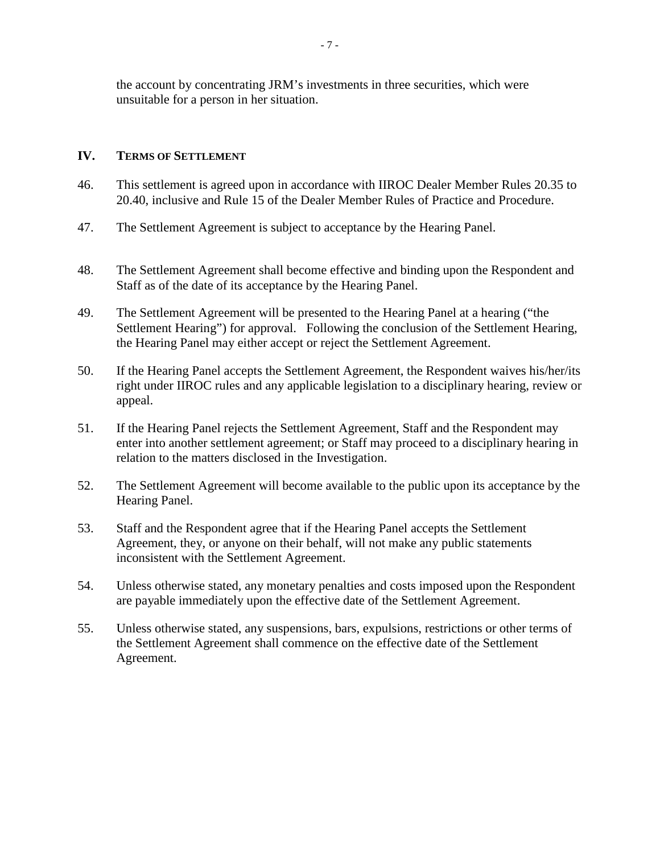the account by concentrating JRM's investments in three securities, which were unsuitable for a person in her situation.

#### **IV. TERMS OF SETTLEMENT**

- 46. This settlement is agreed upon in accordance with IIROC Dealer Member Rules 20.35 to 20.40, inclusive and Rule 15 of the Dealer Member Rules of Practice and Procedure.
- 47. The Settlement Agreement is subject to acceptance by the Hearing Panel.
- 48. The Settlement Agreement shall become effective and binding upon the Respondent and Staff as of the date of its acceptance by the Hearing Panel.
- 49. The Settlement Agreement will be presented to the Hearing Panel at a hearing ("the Settlement Hearing") for approval. Following the conclusion of the Settlement Hearing, the Hearing Panel may either accept or reject the Settlement Agreement.
- 50. If the Hearing Panel accepts the Settlement Agreement, the Respondent waives his/her/its right under IIROC rules and any applicable legislation to a disciplinary hearing, review or appeal.
- 51. If the Hearing Panel rejects the Settlement Agreement, Staff and the Respondent may enter into another settlement agreement; or Staff may proceed to a disciplinary hearing in relation to the matters disclosed in the Investigation.
- 52. The Settlement Agreement will become available to the public upon its acceptance by the Hearing Panel.
- 53. Staff and the Respondent agree that if the Hearing Panel accepts the Settlement Agreement, they, or anyone on their behalf, will not make any public statements inconsistent with the Settlement Agreement.
- 54. Unless otherwise stated, any monetary penalties and costs imposed upon the Respondent are payable immediately upon the effective date of the Settlement Agreement.
- 55. Unless otherwise stated, any suspensions, bars, expulsions, restrictions or other terms of the Settlement Agreement shall commence on the effective date of the Settlement Agreement.